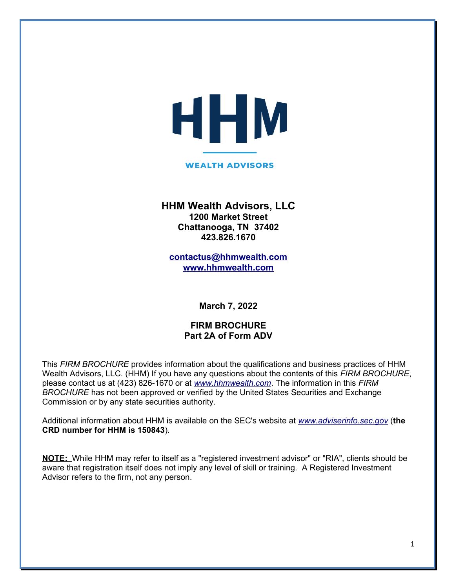# HHM

#### **WEALTH ADVISORS**

## **HHM Wealth Advisors, LLC 1200 Market Street Chattanooga, TN 37402 423.826.1670**

**[contactus@hhmwealth.com](mailto:contactus@hhmwealth.com) [www.hhmwealth.com](http://www.hhmwealth.com/)**

**March 7, 2022**

## **FIRM BROCHURE Part 2A of Form ADV**

This *FIRM BROCHURE* provides information about the qualifications and business practices of HHM Wealth Advisors, LLC. (HHM) If you have any questions about the contents of this *FIRM BROCHURE*, please contact us at (423) 826-1670 or at *[www.hhmwealth.com](http://www.hhmwealth.com/)*. The information in this *FIRM BROCHURE* has not been approved or verified by the United States Securities and Exchange Commission or by any state securities authority.

Additional information about HHM is available on the SEC's website at *[www.adviserinfo.sec.gov](http://www.adviserinfo.sec.gov/)* (**the CRD number for HHM is 150843**).

**NOTE:** While HHM may refer to itself as a "registered investment advisor" or "RIA", clients should be aware that registration itself does not imply any level of skill or training. A Registered Investment Advisor refers to the firm, not any person.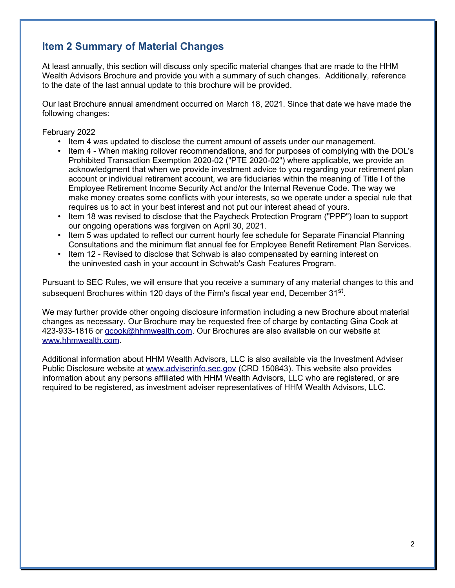# **Item 2 Summary of Material Changes**

At least annually, this section will discuss only specific material changes that are made to the HHM Wealth Advisors Brochure and provide you with a summary of such changes. Additionally, reference to the date of the last annual update to this brochure will be provided.

Our last Brochure annual amendment occurred on March 18, 2021. Since that date we have made the following changes:

February 2022

- Item 4 was updated to disclose the current amount of assets under our management.
- Item 4 When making rollover recommendations, and for purposes of complying with the DOL's Prohibited Transaction Exemption 2020-02 ("PTE 2020-02") where applicable, we provide an acknowledgment that when we provide investment advice to you regarding your retirement plan account or individual retirement account, we are fiduciaries within the meaning of Title I of the Employee Retirement Income Security Act and/or the Internal Revenue Code. The way we make money creates some conflicts with your interests, so we operate under a special rule that requires us to act in your best interest and not put our interest ahead of yours.
- Item 18 was revised to disclose that the Paycheck Protection Program ("PPP") loan to support our ongoing operations was forgiven on April 30, 2021.
- Item 5 was updated to reflect our current hourly fee schedule for Separate Financial Planning Consultations and the minimum flat annual fee for Employee Benefit Retirement Plan Services.
- Item 12 Revised to disclose that Schwab is also compensated by earning interest on the uninvested cash in your account in Schwab's Cash Features Program.

Pursuant to SEC Rules, we will ensure that you receive a summary of any material changes to this and subsequent Brochures within 120 days of the Firm's fiscal year end, December 31<sup>st</sup>.

We may further provide other ongoing disclosure information including a new Brochure about material changes as necessary. Our Brochure may be requested free of charge by contacting Gina Cook at 423-933-1816 or [gcook@hhmwealth.com.](mailto:gcook@hhmwealth.com) Our Brochures are also available on our website at [www.hhmwealth.com.](http://www.hhmwealth.com/)

Additional information about HHM Wealth Advisors, LLC is also available via the Investment Adviser Public Disclosure website at [www.adviserinfo.sec.gov](http://www.adviserinfo.sec.gov/) (CRD 150843). This website also provides information about any persons affiliated with HHM Wealth Advisors, LLC who are registered, or are required to be registered, as investment adviser representatives of HHM Wealth Advisors, LLC.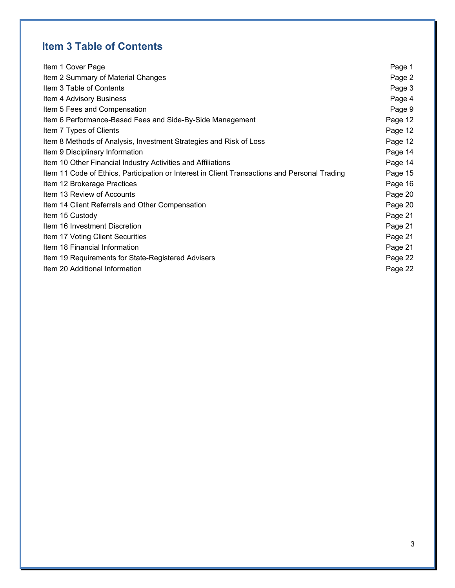# **Item 3 Table of Contents**

| Item 1 Cover Page                                                                             | Page 1  |
|-----------------------------------------------------------------------------------------------|---------|
| Item 2 Summary of Material Changes                                                            | Page 2  |
| Item 3 Table of Contents                                                                      | Page 3  |
| Item 4 Advisory Business                                                                      | Page 4  |
| Item 5 Fees and Compensation                                                                  | Page 9  |
| Item 6 Performance-Based Fees and Side-By-Side Management                                     | Page 12 |
| Item 7 Types of Clients                                                                       | Page 12 |
| Item 8 Methods of Analysis, Investment Strategies and Risk of Loss                            | Page 12 |
| Item 9 Disciplinary Information                                                               | Page 14 |
| Item 10 Other Financial Industry Activities and Affiliations                                  | Page 14 |
| Item 11 Code of Ethics, Participation or Interest in Client Transactions and Personal Trading | Page 15 |
| Item 12 Brokerage Practices                                                                   | Page 16 |
| Item 13 Review of Accounts                                                                    | Page 20 |
| Item 14 Client Referrals and Other Compensation                                               | Page 20 |
| Item 15 Custody                                                                               | Page 21 |
| Item 16 Investment Discretion                                                                 | Page 21 |
| Item 17 Voting Client Securities                                                              | Page 21 |
| Item 18 Financial Information                                                                 | Page 21 |
| Item 19 Requirements for State-Registered Advisers                                            | Page 22 |
| Item 20 Additional Information                                                                | Page 22 |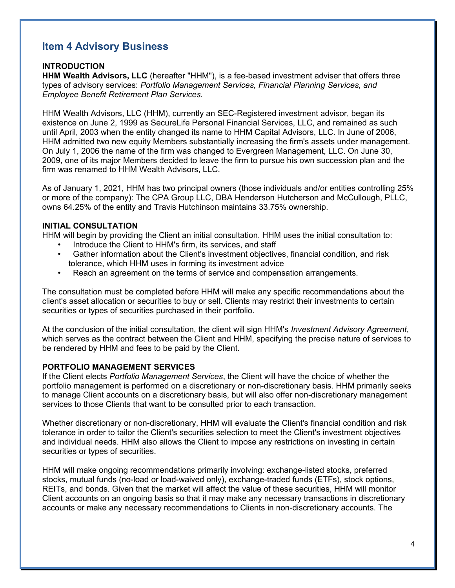# **Item 4 Advisory Business**

## **INTRODUCTION**

**HHM Wealth Advisors, LLC** (hereafter "HHM"), is a fee-based investment adviser that offers three types of advisory services: *Portfolio Management Services, Financial Planning Services, and Employee Benefit Retirement Plan Services.*

HHM Wealth Advisors, LLC (HHM), currently an SEC-Registered investment advisor, began its existence on June 2, 1999 as SecureLife Personal Financial Services, LLC, and remained as such until April, 2003 when the entity changed its name to HHM Capital Advisors, LLC. In June of 2006, HHM admitted two new equity Members substantially increasing the firm's assets under management. On July 1, 2006 the name of the firm was changed to Evergreen Management, LLC. On June 30, 2009, one of its major Members decided to leave the firm to pursue his own succession plan and the firm was renamed to HHM Wealth Advisors, LLC.

As of January 1, 2021, HHM has two principal owners (those individuals and/or entities controlling 25% or more of the company): The CPA Group LLC, DBA Henderson Hutcherson and McCullough, PLLC, owns 64.25% of the entity and Travis Hutchinson maintains 33.75% ownership.

## **INITIAL CONSULTATION**

HHM will begin by providing the Client an initial consultation. HHM uses the initial consultation to:

- Introduce the Client to HHM's firm, its services, and staff
- Gather information about the Client's investment objectives, financial condition, and risk tolerance, which HHM uses in forming its investment advice
- Reach an agreement on the terms of service and compensation arrangements.

The consultation must be completed before HHM will make any specific recommendations about the client's asset allocation or securities to buy or sell. Clients may restrict their investments to certain securities or types of securities purchased in their portfolio.

At the conclusion of the initial consultation, the client will sign HHM's *Investment Advisory Agreement*, which serves as the contract between the Client and HHM, specifying the precise nature of services to be rendered by HHM and fees to be paid by the Client.

## **PORTFOLIO MANAGEMENT SERVICES**

If the Client elects *Portfolio Management Services*, the Client will have the choice of whether the portfolio management is performed on a discretionary or non-discretionary basis. HHM primarily seeks to manage Client accounts on a discretionary basis, but will also offer non-discretionary management services to those Clients that want to be consulted prior to each transaction.

Whether discretionary or non-discretionary, HHM will evaluate the Client's financial condition and risk tolerance in order to tailor the Client's securities selection to meet the Client's investment objectives and individual needs. HHM also allows the Client to impose any restrictions on investing in certain securities or types of securities.

HHM will make ongoing recommendations primarily involving: exchange-listed stocks, preferred stocks, mutual funds (no-load or load-waived only), exchange-traded funds (ETFs), stock options, REITs, and bonds. Given that the market will affect the value of these securities, HHM will monitor Client accounts on an ongoing basis so that it may make any necessary transactions in discretionary accounts or make any necessary recommendations to Clients in non-discretionary accounts. The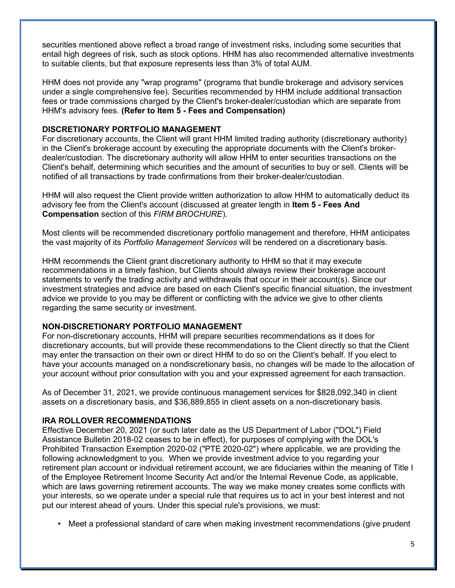securities mentioned above reflect a broad range of investment risks, including some securities that entail high degrees of risk, such as stock options. HHM has also recommended alternative investments to suitable clients, but that exposure represents less than 3% of total AUM.

HHM does not provide any "wrap programs" (programs that bundle brokerage and advisory services under a single comprehensive fee). Securities recommended by HHM include additional transaction fees or trade commissions charged by the Client's broker-dealer/custodian which are separate from HHM's advisory fees. **(Refer to Item 5 - Fees and Compensation)**

## **DISCRETIONARY PORTFOLIO MANAGEMENT**

For discretionary accounts, the Client will grant HHM limited trading authority (discretionary authority) in the Client's brokerage account by executing the appropriate documents with the Client's brokerdealer/custodian. The discretionary authority will allow HHM to enter securities transactions on the Client's behalf, determining which securities and the amount of securities to buy or sell. Clients will be notified of all transactions by trade confirmations from their broker-dealer/custodian.

HHM will also request the Client provide written authorization to allow HHM to automatically deduct its advisory fee from the Client's account (discussed at greater length in **Item 5 - Fees And Compensation** section of this *FIRM BROCHURE*).

Most clients will be recommended discretionary portfolio management and therefore, HHM anticipates the vast majority of its *Portfolio Management Services* will be rendered on a discretionary basis.

HHM recommends the Client grant discretionary authority to HHM so that it may execute recommendations in a timely fashion, but Clients should always review their brokerage account statements to verify the trading activity and withdrawals that occur in their account(s). Since our investment strategies and advice are based on each Client's specific financial situation, the investment advice we provide to you may be different or conflicting with the advice we give to other clients regarding the same security or investment.

## **NON-DISCRETIONARY PORTFOLIO MANAGEMENT**

For non-discretionary accounts, HHM will prepare securities recommendations as it does for discretionary accounts, but will provide these recommendations to the Client directly so that the Client may enter the transaction on their own or direct HHM to do so on the Client's behalf. If you elect to have your accounts managed on a nondiscretionary basis, no changes will be made to the allocation of your account without prior consultation with you and your expressed agreement for each transaction.

As of December 31, 2021, we provide continuous management services for \$828,092,340 in client assets on a discretionary basis, and \$36,889,855 in client assets on a non-discretionary basis.

#### **IRA ROLLOVER RECOMMENDATIONS**

Effective December 20, 2021 (or such later date as the US Department of Labor ("DOL") Field Assistance Bulletin 2018-02 ceases to be in effect), for purposes of complying with the DOL's Prohibited Transaction Exemption 2020-02 ("PTE 2020-02") where applicable, we are providing the following acknowledgment to you. When we provide investment advice to you regarding your retirement plan account or individual retirement account, we are fiduciaries within the meaning of Title I of the Employee Retirement Income Security Act and/or the Internal Revenue Code, as applicable, which are laws governing retirement accounts. The way we make money creates some conflicts with your interests, so we operate under a special rule that requires us to act in your best interest and not put our interest ahead of yours. Under this special rule's provisions, we must:

• Meet a professional standard of care when making investment recommendations (give prudent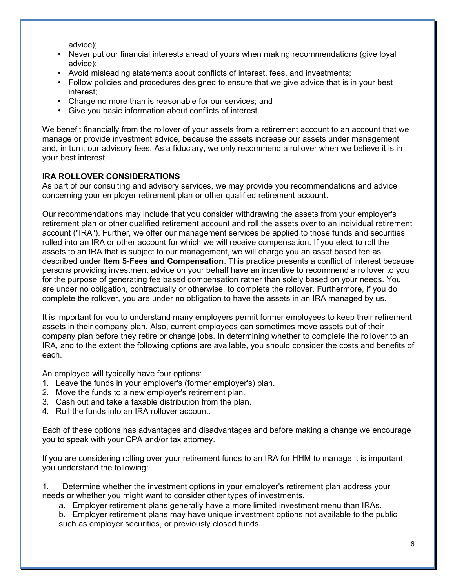advice);

- Never put our financial interests ahead of yours when making recommendations (give loyal advice);
- Avoid misleading statements about conflicts of interest, fees, and investments;
- Follow policies and procedures designed to ensure that we give advice that is in your best interest;
- Charge no more than is reasonable for our services; and
- Give you basic information about conflicts of interest.

We benefit financially from the rollover of your assets from a retirement account to an account that we manage or provide investment advice, because the assets increase our assets under management and, in turn, our advisory fees. As a fiduciary, we only recommend a rollover when we believe it is in your best interest.

## **IRA ROLLOVER CONSIDERATIONS**

As part of our consulting and advisory services, we may provide you recommendations and advice concerning your employer retirement plan or other qualified retirement account.

Our recommendations may include that you consider withdrawing the assets from your employer's retirement plan or other qualified retirement account and roll the assets over to an individual retirement account ("IRA"). Further, we offer our management services be applied to those funds and securities rolled into an IRA or other account for which we will receive compensation. If you elect to roll the assets to an IRA that is subject to our management, we will charge you an asset based fee as described under **Item 5-Fees and Compensation**. This practice presents a conflict of interest because persons providing investment advice on your behalf have an incentive to recommend a rollover to you for the purpose of generating fee based compensation rather than solely based on your needs. You are under no obligation, contractually or otherwise, to complete the rollover. Furthermore, if you do complete the rollover, you are under no obligation to have the assets in an IRA managed by us.

It is important for you to understand many employers permit former employees to keep their retirement assets in their company plan. Also, current employees can sometimes move assets out of their company plan before they retire or change jobs. In determining whether to complete the rollover to an IRA, and to the extent the following options are available, you should consider the costs and benefits of each.

An employee will typically have four options:

- 1. Leave the funds in your employer's (former employer's) plan.
- 2. Move the funds to a new employer's retirement plan.
- 3. Cash out and take a taxable distribution from the plan.
- 4. Roll the funds into an IRA rollover account.

Each of these options has advantages and disadvantages and before making a change we encourage you to speak with your CPA and/or tax attorney.

If you are considering rolling over your retirement funds to an IRA for HHM to manage it is important you understand the following:

1. Determine whether the investment options in your employer's retirement plan address your needs or whether you might want to consider other types of investments.

- a. Employer retirement plans generally have a more limited investment menu than IRAs.
- b. Employer retirement plans may have unique investment options not available to the public such as employer securities, or previously closed funds.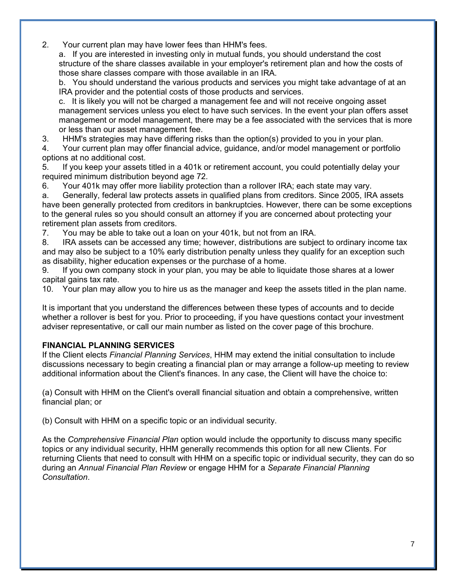2. Your current plan may have lower fees than HHM's fees.

a. If you are interested in investing only in mutual funds, you should understand the cost structure of the share classes available in your employer's retirement plan and how the costs of those share classes compare with those available in an IRA.

b. You should understand the various products and services you might take advantage of at an IRA provider and the potential costs of those products and services.

c. It is likely you will not be charged a management fee and will not receive ongoing asset management services unless you elect to have such services. In the event your plan offers asset management or model management, there may be a fee associated with the services that is more or less than our asset management fee.

3. HHM's strategies may have differing risks than the option(s) provided to you in your plan.

4. Your current plan may offer financial advice, guidance, and/or model management or portfolio options at no additional cost.

5. If you keep your assets titled in a 401k or retirement account, you could potentially delay your required minimum distribution beyond age 72.

6. Your 401k may offer more liability protection than a rollover IRA; each state may vary.

a. Generally, federal law protects assets in qualified plans from creditors. Since 2005, IRA assets have been generally protected from creditors in bankruptcies. However, there can be some exceptions to the general rules so you should consult an attorney if you are concerned about protecting your retirement plan assets from creditors.

7. You may be able to take out a loan on your 401k, but not from an IRA.

8. IRA assets can be accessed any time; however, distributions are subject to ordinary income tax and may also be subject to a 10% early distribution penalty unless they qualify for an exception such as disability, higher education expenses or the purchase of a home.

9. If you own company stock in your plan, you may be able to liquidate those shares at a lower capital gains tax rate.

10. Your plan may allow you to hire us as the manager and keep the assets titled in the plan name.

It is important that you understand the differences between these types of accounts and to decide whether a rollover is best for you. Prior to proceeding, if you have questions contact your investment adviser representative, or call our main number as listed on the cover page of this brochure.

## **FINANCIAL PLANNING SERVICES**

If the Client elects *Financial Planning Services*, HHM may extend the initial consultation to include discussions necessary to begin creating a financial plan or may arrange a follow-up meeting to review additional information about the Client's finances. In any case, the Client will have the choice to:

(a) Consult with HHM on the Client's overall financial situation and obtain a comprehensive, written financial plan; or

(b) Consult with HHM on a specific topic or an individual security.

As the *Comprehensive Financial Plan* option would include the opportunity to discuss many specific topics or any individual security, HHM generally recommends this option for all new Clients. For returning Clients that need to consult with HHM on a specific topic or individual security, they can do so during an *Annual Financial Plan Review* or engage HHM for a *Separate Financial Planning Consultation*.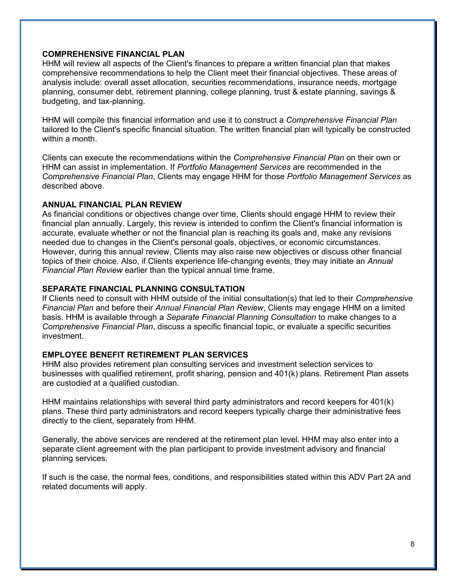## **COMPREHENSIVE FINANCIAL PLAN**

HHM will review all aspects of the Client's finances to prepare a written financial plan that makes comprehensive recommendations to help the Client meet their financial objectives. These areas of analysis include: overall asset allocation, securities recommendations, insurance needs, mortgage planning, consumer debt, retirement planning, college planning, trust & estate planning, savings & budgeting, and tax-planning.

HHM will compile this financial information and use it to construct a *Comprehensive Financial Plan* tailored to the Client's specific financial situation. The written financial plan will typically be constructed within a month.

Clients can execute the recommendations within the *Comprehensive Financial Plan* on their own or HHM can assist in implementation. If *Portfolio Management Services* are recommended in the *Comprehensive Financial Plan*, Clients may engage HHM for those *Portfolio Management Services* as described above.

## **ANNUAL FINANCIAL PLAN REVIEW**

As financial conditions or objectives change over time, Clients should engage HHM to review their financial plan annually. Largely, this review is intended to confirm the Client's financial information is accurate, evaluate whether or not the financial plan is reaching its goals and, make any revisions needed due to changes in the Client's personal goals, objectives, or economic circumstances. However, during this annual review, Clients may also raise new objectives or discuss other financial topics of their choice. Also, if Clients experience life-changing events, they may initiate an *Annual Financial Plan Review* earlier than the typical annual time frame.

## **SEPARATE FINANCIAL PLANNING CONSULTATION**

If Clients need to consult with HHM outside of the initial consultation(s) that led to their *Comprehensive Financial Plan* and before their *Annual Financial Plan Review*, Clients may engage HHM on a limited basis. HHM is available through a *Separate Financial Planning Consultation* to make changes to a *Comprehensive Financial Plan*, discuss a specific financial topic, or evaluate a specific securities investment.

## **EMPLOYEE BENEFIT RETIREMENT PLAN SERVICES**

HHM also provides retirement plan consulting services and investment selection services to businesses with qualified retirement, profit sharing, pension and 401(k) plans. Retirement Plan assets are custodied at a qualified custodian.

HHM maintains relationships with several third party administrators and record keepers for 401(k) plans. These third party administrators and record keepers typically charge their administrative fees directly to the client, separately from HHM.

Generally, the above services are rendered at the retirement plan level. HHM may also enter into a separate client agreement with the plan participant to provide investment advisory and financial planning services.

If such is the case, the normal fees, conditions, and responsibilities stated within this ADV Part 2A and related documents will apply.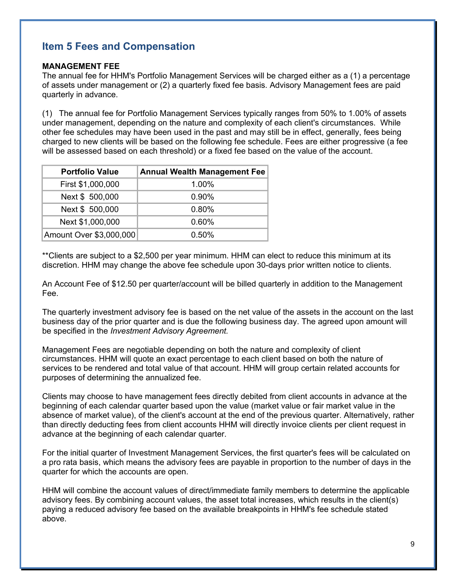# **Item 5 Fees and Compensation**

## **MANAGEMENT FEE**

The annual fee for HHM's Portfolio Management Services will be charged either as a (1) a percentage of assets under management or (2) a quarterly fixed fee basis. Advisory Management fees are paid quarterly in advance.

(1) The annual fee for Portfolio Management Services typically ranges from 50% to 1.00% of assets under management, depending on the nature and complexity of each client's circumstances. While other fee schedules may have been used in the past and may still be in effect, generally, fees being charged to new clients will be based on the following fee schedule. Fees are either progressive (a fee will be assessed based on each threshold) or a fixed fee based on the value of the account.

| <b>Portfolio Value</b>  | <b>Annual Wealth Management Fee</b> |
|-------------------------|-------------------------------------|
| First \$1,000,000       | 1.00%                               |
| Next \$ 500,000         | $0.90\%$                            |
| Next \$ 500,000         | 0.80%                               |
| Next \$1,000,000        | 0.60%                               |
| Amount Over \$3,000,000 | $0.50\%$                            |

\*\*Clients are subject to a \$2,500 per year minimum. HHM can elect to reduce this minimum at its discretion. HHM may change the above fee schedule upon 30-days prior written notice to clients.

An Account Fee of \$12.50 per quarter/account will be billed quarterly in addition to the Management Fee.

The quarterly investment advisory fee is based on the net value of the assets in the account on the last business day of the prior quarter and is due the following business day. The agreed upon amount will be specified in the *Investment Advisory Agreement.*

Management Fees are negotiable depending on both the nature and complexity of client circumstances. HHM will quote an exact percentage to each client based on both the nature of services to be rendered and total value of that account. HHM will group certain related accounts for purposes of determining the annualized fee.

Clients may choose to have management fees directly debited from client accounts in advance at the beginning of each calendar quarter based upon the value (market value or fair market value in the absence of market value), of the client's account at the end of the previous quarter. Alternatively, rather than directly deducting fees from client accounts HHM will directly invoice clients per client request in advance at the beginning of each calendar quarter.

For the initial quarter of Investment Management Services, the first quarter's fees will be calculated on a pro rata basis, which means the advisory fees are payable in proportion to the number of days in the quarter for which the accounts are open.

HHM will combine the account values of direct/immediate family members to determine the applicable advisory fees. By combining account values, the asset total increases, which results in the client(s) paying a reduced advisory fee based on the available breakpoints in HHM's fee schedule stated above.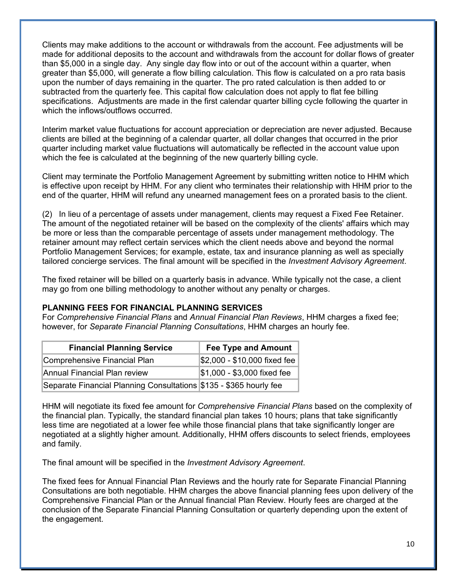Clients may make additions to the account or withdrawals from the account. Fee adjustments will be made for additional deposits to the account and withdrawals from the account for dollar flows of greater than \$5,000 in a single day. Any single day flow into or out of the account within a quarter, when greater than \$5,000, will generate a flow billing calculation. This flow is calculated on a pro rata basis upon the number of days remaining in the quarter. The pro rated calculation is then added to or subtracted from the quarterly fee. This capital flow calculation does not apply to flat fee billing specifications. Adjustments are made in the first calendar quarter billing cycle following the quarter in which the inflows/outflows occurred.

Interim market value fluctuations for account appreciation or depreciation are never adjusted. Because clients are billed at the beginning of a calendar quarter, all dollar changes that occurred in the prior quarter including market value fluctuations will automatically be reflected in the account value upon which the fee is calculated at the beginning of the new quarterly billing cycle.

Client may terminate the Portfolio Management Agreement by submitting written notice to HHM which is effective upon receipt by HHM. For any client who terminates their relationship with HHM prior to the end of the quarter, HHM will refund any unearned management fees on a prorated basis to the client.

(2) In lieu of a percentage of assets under management, clients may request a Fixed Fee Retainer. The amount of the negotiated retainer will be based on the complexity of the clients' affairs which may be more or less than the comparable percentage of assets under management methodology. The retainer amount may reflect certain services which the client needs above and beyond the normal Portfolio Management Services; for example, estate, tax and insurance planning as well as specially tailored concierge services. The final amount will be specified in the *Investment Advisory Agreement*.

The fixed retainer will be billed on a quarterly basis in advance. While typically not the case, a client may go from one billing methodology to another without any penalty or charges.

## **PLANNING FEES FOR FINANCIAL PLANNING SERVICES**

For *Comprehensive Financial Plans* and *Annual Financial Plan Reviews*, HHM charges a fixed fee; however, for *Separate Financial Planning Consultations*, HHM charges an hourly fee.

| <b>Financial Planning Service</b>                                  | <b>Fee Type and Amount</b>   |
|--------------------------------------------------------------------|------------------------------|
| Comprehensive Financial Plan                                       | \$2,000 - \$10,000 fixed fee |
| Annual Financial Plan review                                       | \$1,000 - \$3,000 fixed fee  |
| Separate Financial Planning Consultations \$135 - \$365 hourly fee |                              |

HHM will negotiate its fixed fee amount for *Comprehensive Financial Plans* based on the complexity of the financial plan. Typically, the standard financial plan takes 10 hours; plans that take significantly less time are negotiated at a lower fee while those financial plans that take significantly longer are negotiated at a slightly higher amount. Additionally, HHM offers discounts to select friends, employees and family.

The final amount will be specified in the *Investment Advisory Agreement*.

The fixed fees for Annual Financial Plan Reviews and the hourly rate for Separate Financial Planning Consultations are both negotiable. HHM charges the above financial planning fees upon delivery of the Comprehensive Financial Plan or the Annual financial Plan Review. Hourly fees are charged at the conclusion of the Separate Financial Planning Consultation or quarterly depending upon the extent of the engagement.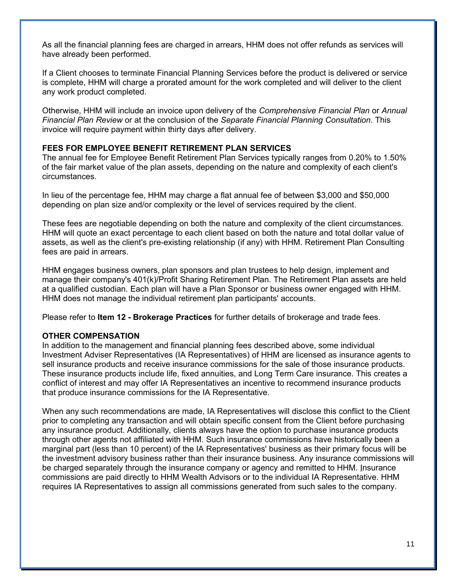As all the financial planning fees are charged in arrears, HHM does not offer refunds as services will have already been performed.

If a Client chooses to terminate Financial Planning Services before the product is delivered or service is complete, HHM will charge a prorated amount for the work completed and will deliver to the client any work product completed.

Otherwise, HHM will include an invoice upon delivery of the *Comprehensive Financial Plan* or *Annual Financial Plan Review* or at the conclusion of the *Separate Financial Planning Consultation*. This invoice will require payment within thirty days after delivery.

## **FEES FOR EMPLOYEE BENEFIT RETIREMENT PLAN SERVICES**

The annual fee for Employee Benefit Retirement Plan Services typically ranges from 0.20% to 1.50% of the fair market value of the plan assets, depending on the nature and complexity of each client's circumstances.

In lieu of the percentage fee, HHM may charge a flat annual fee of between \$3,000 and \$50,000 depending on plan size and/or complexity or the level of services required by the client.

These fees are negotiable depending on both the nature and complexity of the client circumstances. HHM will quote an exact percentage to each client based on both the nature and total dollar value of assets, as well as the client's pre-existing relationship (if any) with HHM. Retirement Plan Consulting fees are paid in arrears.

HHM engages business owners, plan sponsors and plan trustees to help design, implement and manage their company's 401(k)/Profit Sharing Retirement Plan. The Retirement Plan assets are held at a qualified custodian. Each plan will have a Plan Sponsor or business owner engaged with HHM. HHM does not manage the individual retirement plan participants' accounts.

Please refer to **Item 12 - Brokerage Practices** for further details of brokerage and trade fees.

#### **OTHER COMPENSATION**

In addition to the management and financial planning fees described above, some individual Investment Adviser Representatives (IA Representatives) of HHM are licensed as insurance agents to sell insurance products and receive insurance commissions for the sale of those insurance products. These insurance products include life, fixed annuities, and Long Term Care insurance. This creates a conflict of interest and may offer IA Representatives an incentive to recommend insurance products that produce insurance commissions for the IA Representative.

When any such recommendations are made, IA Representatives will disclose this conflict to the Client prior to completing any transaction and will obtain specific consent from the Client before purchasing any insurance product. Additionally, clients always have the option to purchase insurance products through other agents not affiliated with HHM. Such insurance commissions have historically been a marginal part (less than 10 percent) of the IA Representatives' business as their primary focus will be the investment advisory business rather than their insurance business. Any insurance commissions will be charged separately through the insurance company or agency and remitted to HHM. Insurance commissions are paid directly to HHM Wealth Advisors or to the individual IA Representative. HHM requires IA Representatives to assign all commissions generated from such sales to the company.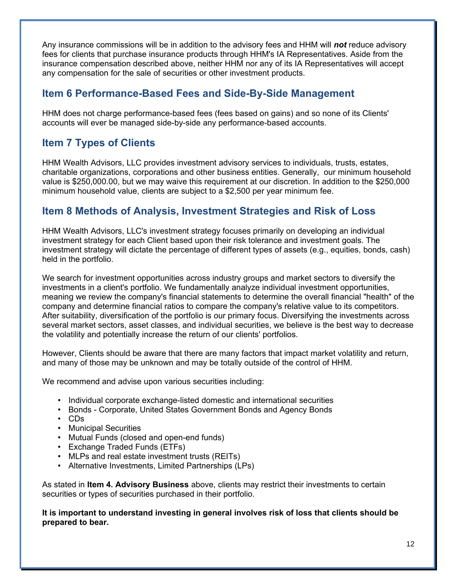Any insurance commissions will be in addition to the advisory fees and HHM will *not* reduce advisory fees for clients that purchase insurance products through HHM's IA Representatives. Aside from the insurance compensation described above, neither HHM nor any of its IA Representatives will accept any compensation for the sale of securities or other investment products.

# **Item 6 Performance-Based Fees and Side-By-Side Management**

HHM does not charge performance-based fees (fees based on gains) and so none of its Clients' accounts will ever be managed side-by-side any performance-based accounts.

# **Item 7 Types of Clients**

HHM Wealth Advisors, LLC provides investment advisory services to individuals, trusts, estates, charitable organizations, corporations and other business entities. Generally, our minimum household value is \$250,000.00, but we may waive this requirement at our discretion. In addition to the \$250,000 minimum household value, clients are subject to a \$2,500 per year minimum fee.

# **Item 8 Methods of Analysis, Investment Strategies and Risk of Loss**

HHM Wealth Advisors, LLC's investment strategy focuses primarily on developing an individual investment strategy for each Client based upon their risk tolerance and investment goals. The investment strategy will dictate the percentage of different types of assets (e.g., equities, bonds, cash) held in the portfolio.

We search for investment opportunities across industry groups and market sectors to diversify the investments in a client's portfolio. We fundamentally analyze individual investment opportunities, meaning we review the company's financial statements to determine the overall financial "health" of the company and determine financial ratios to compare the company's relative value to its competitors. After suitability, diversification of the portfolio is our primary focus. Diversifying the investments across several market sectors, asset classes, and individual securities, we believe is the best way to decrease the volatility and potentially increase the return of our clients' portfolios.

However, Clients should be aware that there are many factors that impact market volatility and return, and many of those may be unknown and may be totally outside of the control of HHM.

We recommend and advise upon various securities including:

- Individual corporate exchange-listed domestic and international securities
- Bonds Corporate, United States Government Bonds and Agency Bonds
- CDs
- Municipal Securities
- Mutual Funds (closed and open-end funds)
- Exchange Traded Funds (ETFs)
- MLPs and real estate investment trusts (REITs)
- Alternative Investments, Limited Partnerships (LPs)

As stated in **Item 4. Advisory Business** above, clients may restrict their investments to certain securities or types of securities purchased in their portfolio.

**It is important to understand investing in general involves risk of loss that clients should be prepared to bear.**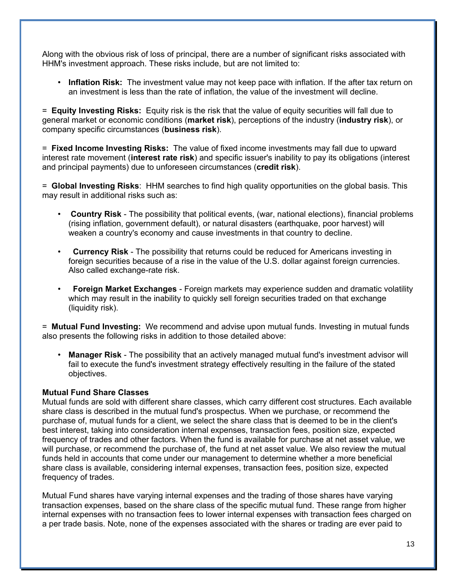Along with the obvious risk of loss of principal, there are a number of significant risks associated with HHM's investment approach. These risks include, but are not limited to:

• **Inflation Risk:** The investment value may not keep pace with inflation. If the after tax return on an investment is less than the rate of inflation, the value of the investment will decline.

= **Equity Investing Risks:** Equity risk is the risk that the value of equity securities will fall due to general market or economic conditions (**market risk**), perceptions of the industry (**industry risk**), or company specific circumstances (**business risk**).

= **Fixed Income Investing Risks:** The value of fixed income investments may fall due to upward interest rate movement (**interest rate risk**) and specific issuer's inability to pay its obligations (interest and principal payments) due to unforeseen circumstances (**credit risk**).

= **Global Investing Risks**: HHM searches to find high quality opportunities on the global basis. This may result in additional risks such as:

- **Country Risk** The possibility that political events, (war, national elections), financial problems (rising inflation, government default), or natural disasters (earthquake, poor harvest) will weaken a country's economy and cause investments in that country to decline.
- **Currency Risk** The possibility that returns could be reduced for Americans investing in foreign securities because of a rise in the value of the U.S. dollar against foreign currencies. Also called exchange-rate risk.
- **Foreign Market Exchanges** Foreign markets may experience sudden and dramatic volatility which may result in the inability to quickly sell foreign securities traded on that exchange (liquidity risk).

= **Mutual Fund Investing:** We recommend and advise upon mutual funds. Investing in mutual funds also presents the following risks in addition to those detailed above:

• **Manager Risk** - The possibility that an actively managed mutual fund's investment advisor will fail to execute the fund's investment strategy effectively resulting in the failure of the stated objectives.

## **Mutual Fund Share Classes**

Mutual funds are sold with different share classes, which carry different cost structures. Each available share class is described in the mutual fund's prospectus. When we purchase, or recommend the purchase of, mutual funds for a client, we select the share class that is deemed to be in the client's best interest, taking into consideration internal expenses, transaction fees, position size, expected frequency of trades and other factors. When the fund is available for purchase at net asset value, we will purchase, or recommend the purchase of, the fund at net asset value. We also review the mutual funds held in accounts that come under our management to determine whether a more beneficial share class is available, considering internal expenses, transaction fees, position size, expected frequency of trades.

Mutual Fund shares have varying internal expenses and the trading of those shares have varying transaction expenses, based on the share class of the specific mutual fund. These range from higher internal expenses with no transaction fees to lower internal expenses with transaction fees charged on a per trade basis. Note, none of the expenses associated with the shares or trading are ever paid to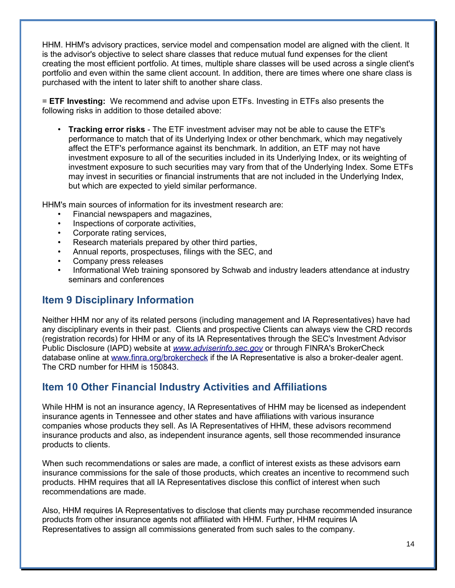HHM. HHM's advisory practices, service model and compensation model are aligned with the client. It is the advisor's objective to select share classes that reduce mutual fund expenses for the client creating the most efficient portfolio. At times, multiple share classes will be used across a single client's portfolio and even within the same client account. In addition, there are times where one share class is purchased with the intent to later shift to another share class.

= **ETF Investing:** We recommend and advise upon ETFs. Investing in ETFs also presents the following risks in addition to those detailed above:

• **Tracking error risks** - The ETF investment adviser may not be able to cause the ETF's performance to match that of its Underlying Index or other benchmark, which may negatively affect the ETF's performance against its benchmark. In addition, an ETF may not have investment exposure to all of the securities included in its Underlying Index, or its weighting of investment exposure to such securities may vary from that of the Underlying Index. Some ETFs may invest in securities or financial instruments that are not included in the Underlying Index, but which are expected to yield similar performance.

HHM's main sources of information for its investment research are:

- Financial newspapers and magazines,
- Inspections of corporate activities,
- Corporate rating services,
- Research materials prepared by other third parties,
- Annual reports, prospectuses, filings with the SEC, and
- Company press releases
- Informational Web training sponsored by Schwab and industry leaders attendance at industry seminars and conferences

# **Item 9 Disciplinary Information**

Neither HHM nor any of its related persons (including management and IA Representatives) have had any disciplinary events in their past. Clients and prospective Clients can always view the CRD records (registration records) for HHM or any of its IA Representatives through the SEC's Investment Advisor Public Disclosure (IAPD) website at *[www.adviserinfo.sec.gov](http://www.adviserinfo.sec.gov/)* or through FINRA's BrokerCheck database online at [www.finra.org/brokercheck](http://www.finra.org/brokercheck) if the IA Representative is also a broker-dealer agent. The CRD number for HHM is 150843.

# **Item 10 Other Financial Industry Activities and Affiliations**

While HHM is not an insurance agency, IA Representatives of HHM may be licensed as independent insurance agents in Tennessee and other states and have affiliations with various insurance companies whose products they sell. As IA Representatives of HHM, these advisors recommend insurance products and also, as independent insurance agents, sell those recommended insurance products to clients.

When such recommendations or sales are made, a conflict of interest exists as these advisors earn insurance commissions for the sale of those products, which creates an incentive to recommend such products. HHM requires that all IA Representatives disclose this conflict of interest when such recommendations are made.

Also, HHM requires IA Representatives to disclose that clients may purchase recommended insurance products from other insurance agents not affiliated with HHM. Further, HHM requires IA Representatives to assign all commissions generated from such sales to the company.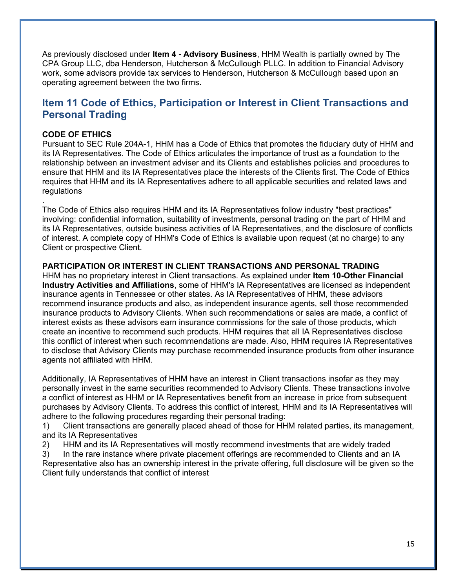As previously disclosed under **Item 4 - Advisory Business**, HHM Wealth is partially owned by The CPA Group LLC, dba Henderson, Hutcherson & McCullough PLLC. In addition to Financial Advisory work, some advisors provide tax services to Henderson, Hutcherson & McCullough based upon an operating agreement between the two firms.

## **Item 11 Code of Ethics, Participation or Interest in Client Transactions and Personal Trading**

## **CODE OF ETHICS**

.

Pursuant to SEC Rule 204A-1, HHM has a Code of Ethics that promotes the fiduciary duty of HHM and its IA Representatives. The Code of Ethics articulates the importance of trust as a foundation to the relationship between an investment adviser and its Clients and establishes policies and procedures to ensure that HHM and its IA Representatives place the interests of the Clients first. The Code of Ethics requires that HHM and its IA Representatives adhere to all applicable securities and related laws and regulations

The Code of Ethics also requires HHM and its IA Representatives follow industry "best practices" involving: confidential information, suitability of investments, personal trading on the part of HHM and its IA Representatives, outside business activities of IA Representatives, and the disclosure of conflicts of interest. A complete copy of HHM's Code of Ethics is available upon request (at no charge) to any Client or prospective Client.

#### **PARTICIPATION OR INTEREST IN CLIENT TRANSACTIONS AND PERSONAL TRADING**

HHM has no proprietary interest in Client transactions. As explained under **Item 10-Other Financial Industry Activities and Affiliations**, some of HHM's IA Representatives are licensed as independent insurance agents in Tennessee or other states. As IA Representatives of HHM, these advisors recommend insurance products and also, as independent insurance agents, sell those recommended insurance products to Advisory Clients. When such recommendations or sales are made, a conflict of interest exists as these advisors earn insurance commissions for the sale of those products, which create an incentive to recommend such products. HHM requires that all IA Representatives disclose this conflict of interest when such recommendations are made. Also, HHM requires IA Representatives to disclose that Advisory Clients may purchase recommended insurance products from other insurance agents not affiliated with HHM.

Additionally, IA Representatives of HHM have an interest in Client transactions insofar as they may personally invest in the same securities recommended to Advisory Clients. These transactions involve a conflict of interest as HHM or IA Representatives benefit from an increase in price from subsequent purchases by Advisory Clients. To address this conflict of interest, HHM and its IA Representatives will adhere to the following procedures regarding their personal trading:

1) Client transactions are generally placed ahead of those for HHM related parties, its management, and its IA Representatives

2) HHM and its IA Representatives will mostly recommend investments that are widely traded

3) In the rare instance where private placement offerings are recommended to Clients and an IA Representative also has an ownership interest in the private offering, full disclosure will be given so the Client fully understands that conflict of interest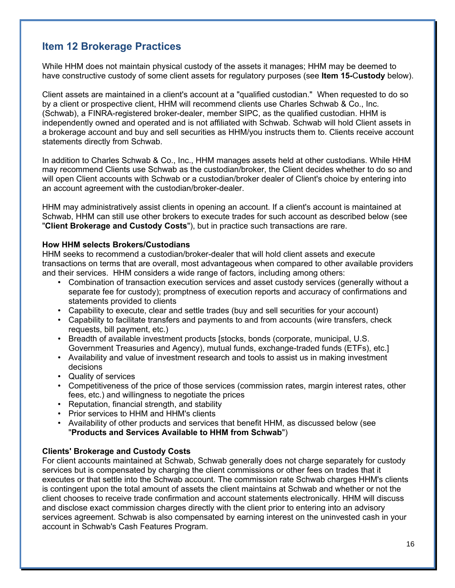# **Item 12 Brokerage Practices**

While HHM does not maintain physical custody of the assets it manages; HHM may be deemed to have constructive custody of some client assets for regulatory purposes (see **Item 15-**C**ustody** below).

Client assets are maintained in a client's account at a "qualified custodian." When requested to do so by a client or prospective client, HHM will recommend clients use Charles Schwab & Co., Inc. (Schwab), a FINRA-registered broker-dealer, member SIPC, as the qualified custodian. HHM is independently owned and operated and is not affiliated with Schwab. Schwab will hold Client assets in a brokerage account and buy and sell securities as HHM/you instructs them to. Clients receive account statements directly from Schwab.

In addition to Charles Schwab & Co., Inc., HHM manages assets held at other custodians. While HHM may recommend Clients use Schwab as the custodian/broker, the Client decides whether to do so and will open Client accounts with Schwab or a custodian/broker dealer of Client's choice by entering into an account agreement with the custodian/broker-dealer.

HHM may administratively assist clients in opening an account. If a client's account is maintained at Schwab, HHM can still use other brokers to execute trades for such account as described below (see "**Client Brokerage and Custody Costs**"), but in practice such transactions are rare.

## **How HHM selects Brokers/Custodians**

HHM seeks to recommend a custodian/broker-dealer that will hold client assets and execute transactions on terms that are overall, most advantageous when compared to other available providers and their services. HHM considers a wide range of factors, including among others:

- Combination of transaction execution services and asset custody services (generally without a separate fee for custody); promptness of execution reports and accuracy of confirmations and statements provided to clients
- Capability to execute, clear and settle trades (buy and sell securities for your account)
- Capability to facilitate transfers and payments to and from accounts (wire transfers, check requests, bill payment, etc.)
- Breadth of available investment products [stocks, bonds (corporate, municipal, U.S. Government Treasuries and Agency), mutual funds, exchange-traded funds (ETFs), etc.]
- Availability and value of investment research and tools to assist us in making investment decisions
- Quality of services
- Competitiveness of the price of those services (commission rates, margin interest rates, other fees, etc.) and willingness to negotiate the prices
- Reputation, financial strength, and stability
- Prior services to HHM and HHM's clients
- Availability of other products and services that benefit HHM, as discussed below (see "**Products and Services Available to HHM from Schwab**")

## **Clients' Brokerage and Custody Costs**

For client accounts maintained at Schwab, Schwab generally does not charge separately for custody services but is compensated by charging the client commissions or other fees on trades that it executes or that settle into the Schwab account. The commission rate Schwab charges HHM's clients is contingent upon the total amount of assets the client maintains at Schwab and whether or not the client chooses to receive trade confirmation and account statements electronically. HHM will discuss and disclose exact commission charges directly with the client prior to entering into an advisory services agreement. Schwab is also compensated by earning interest on the uninvested cash in your account in Schwab's Cash Features Program.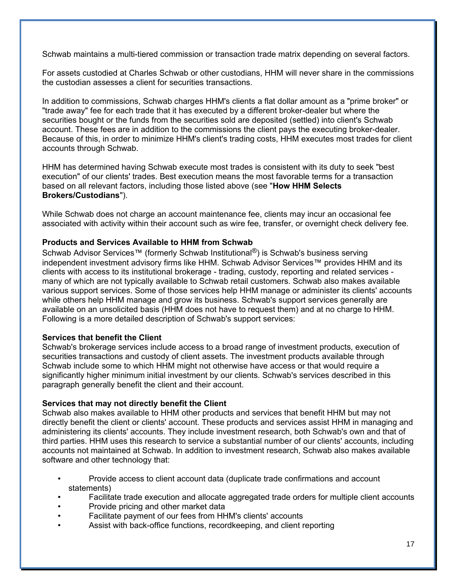Schwab maintains a multi-tiered commission or transaction trade matrix depending on several factors.

For assets custodied at Charles Schwab or other custodians, HHM will never share in the commissions the custodian assesses a client for securities transactions.

In addition to commissions, Schwab charges HHM's clients a flat dollar amount as a "prime broker" or "trade away" fee for each trade that it has executed by a different broker-dealer but where the securities bought or the funds from the securities sold are deposited (settled) into client's Schwab account. These fees are in addition to the commissions the client pays the executing broker-dealer. Because of this, in order to minimize HHM's client's trading costs, HHM executes most trades for client accounts through Schwab.

HHM has determined having Schwab execute most trades is consistent with its duty to seek "best execution" of our clients' trades. Best execution means the most favorable terms for a transaction based on all relevant factors, including those listed above (see "**How HHM Selects Brokers/Custodians**").

While Schwab does not charge an account maintenance fee, clients may incur an occasional fee associated with activity within their account such as wire fee, transfer, or overnight check delivery fee.

## **Products and Services Available to HHM from Schwab**

Schwab Advisor Services™ (formerly Schwab Institutional<sup>®</sup>) is Schwab's business serving independent investment advisory firms like HHM. Schwab Advisor Services™ provides HHM and its clients with access to its institutional brokerage - trading, custody, reporting and related services many of which are not typically available to Schwab retail customers. Schwab also makes available various support services. Some of those services help HHM manage or administer its clients' accounts while others help HHM manage and grow its business. Schwab's support services generally are available on an unsolicited basis (HHM does not have to request them) and at no charge to HHM. Following is a more detailed description of Schwab's support services:

## **Services that benefit the Client**

Schwab's brokerage services include access to a broad range of investment products, execution of securities transactions and custody of client assets. The investment products available through Schwab include some to which HHM might not otherwise have access or that would require a significantly higher minimum initial investment by our clients. Schwab's services described in this paragraph generally benefit the client and their account.

## **Services that may not directly benefit the Client**

Schwab also makes available to HHM other products and services that benefit HHM but may not directly benefit the client or clients' account. These products and services assist HHM in managing and administering its clients' accounts. They include investment research, both Schwab's own and that of third parties. HHM uses this research to service a substantial number of our clients' accounts, including accounts not maintained at Schwab. In addition to investment research, Schwab also makes available software and other technology that:

- Provide access to client account data (duplicate trade confirmations and account statements)
- Facilitate trade execution and allocate aggregated trade orders for multiple client accounts
- Provide pricing and other market data
- Facilitate payment of our fees from HHM's clients' accounts
- Assist with back-office functions, recordkeeping, and client reporting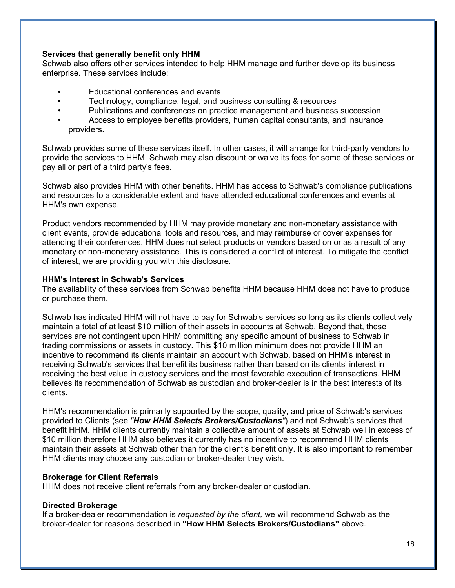## **Services that generally benefit only HHM**

Schwab also offers other services intended to help HHM manage and further develop its business enterprise. These services include:

- Educational conferences and events
- Technology, compliance, legal, and business consulting & resources
- Publications and conferences on practice management and business succession
- Access to employee benefits providers, human capital consultants, and insurance providers.

Schwab provides some of these services itself. In other cases, it will arrange for third-party vendors to provide the services to HHM. Schwab may also discount or waive its fees for some of these services or pay all or part of a third party's fees.

Schwab also provides HHM with other benefits. HHM has access to Schwab's compliance publications and resources to a considerable extent and have attended educational conferences and events at HHM's own expense.

Product vendors recommended by HHM may provide monetary and non-monetary assistance with client events, provide educational tools and resources, and may reimburse or cover expenses for attending their conferences. HHM does not select products or vendors based on or as a result of any monetary or non-monetary assistance. This is considered a conflict of interest. To mitigate the conflict of interest, we are providing you with this disclosure.

## **HHM's Interest in Schwab's Services**

The availability of these services from Schwab benefits HHM because HHM does not have to produce or purchase them.

Schwab has indicated HHM will not have to pay for Schwab's services so long as its clients collectively maintain a total of at least \$10 million of their assets in accounts at Schwab. Beyond that, these services are not contingent upon HHM committing any specific amount of business to Schwab in trading commissions or assets in custody. This \$10 million minimum does not provide HHM an incentive to recommend its clients maintain an account with Schwab, based on HHM's interest in receiving Schwab's services that benefit its business rather than based on its clients' interest in receiving the best value in custody services and the most favorable execution of transactions. HHM believes its recommendation of Schwab as custodian and broker-dealer is in the best interests of its clients.

HHM's recommendation is primarily supported by the scope, quality, and price of Schwab's services provided to Clients (see *"How HHM Selects Brokers/Custodians"*) and not Schwab's services that benefit HHM. HHM clients currently maintain a collective amount of assets at Schwab well in excess of \$10 million therefore HHM also believes it currently has no incentive to recommend HHM clients maintain their assets at Schwab other than for the client's benefit only. It is also important to remember HHM clients may choose any custodian or broker-dealer they wish.

## **Brokerage for Client Referrals**

HHM does not receive client referrals from any broker-dealer or custodian.

#### **Directed Brokerage**

If a broker-dealer recommendation is *requested by the client,* we will recommend Schwab as the broker-dealer for reasons described in **"How HHM Selects Brokers/Custodians"** above.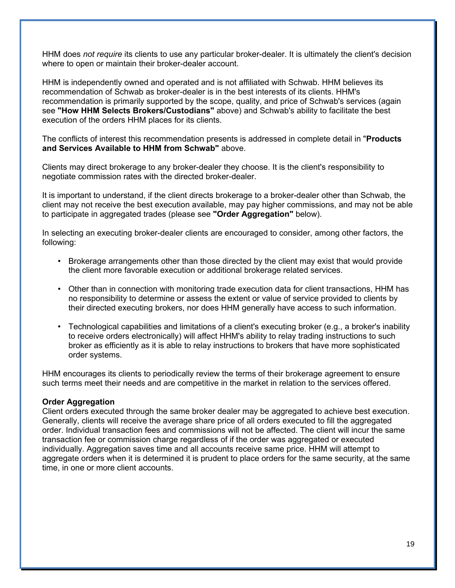HHM does *not require* its clients to use any particular broker-dealer. It is ultimately the client's decision where to open or maintain their broker-dealer account.

HHM is independently owned and operated and is not affiliated with Schwab. HHM believes its recommendation of Schwab as broker-dealer is in the best interests of its clients. HHM's recommendation is primarily supported by the scope, quality, and price of Schwab's services (again see **"How HHM Selects Brokers/Custodians"** above) and Schwab's ability to facilitate the best execution of the orders HHM places for its clients.

The conflicts of interest this recommendation presents is addressed in complete detail in "**Products and Services Available to HHM from Schwab"** above.

Clients may direct brokerage to any broker-dealer they choose. It is the client's responsibility to negotiate commission rates with the directed broker-dealer.

It is important to understand, if the client directs brokerage to a broker-dealer other than Schwab, the client may not receive the best execution available, may pay higher commissions, and may not be able to participate in aggregated trades (please see **"Order Aggregation"** below).

In selecting an executing broker-dealer clients are encouraged to consider, among other factors, the following:

- Brokerage arrangements other than those directed by the client may exist that would provide the client more favorable execution or additional brokerage related services.
- Other than in connection with monitoring trade execution data for client transactions, HHM has no responsibility to determine or assess the extent or value of service provided to clients by their directed executing brokers, nor does HHM generally have access to such information.
- Technological capabilities and limitations of a client's executing broker (e.g., a broker's inability to receive orders electronically) will affect HHM's ability to relay trading instructions to such broker as efficiently as it is able to relay instructions to brokers that have more sophisticated order systems.

HHM encourages its clients to periodically review the terms of their brokerage agreement to ensure such terms meet their needs and are competitive in the market in relation to the services offered.

#### **Order Aggregation**

Client orders executed through the same broker dealer may be aggregated to achieve best execution. Generally, clients will receive the average share price of all orders executed to fill the aggregated order. Individual transaction fees and commissions will not be affected. The client will incur the same transaction fee or commission charge regardless of if the order was aggregated or executed individually. Aggregation saves time and all accounts receive same price. HHM will attempt to aggregate orders when it is determined it is prudent to place orders for the same security, at the same time, in one or more client accounts.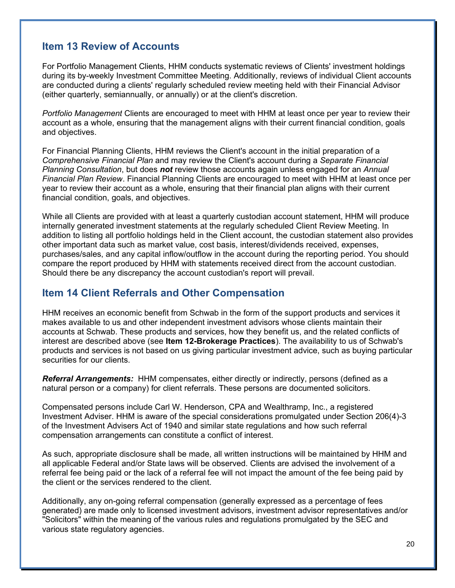## **Item 13 Review of Accounts**

For Portfolio Management Clients, HHM conducts systematic reviews of Clients' investment holdings during its by-weekly Investment Committee Meeting. Additionally, reviews of individual Client accounts are conducted during a clients' regularly scheduled review meeting held with their Financial Advisor (either quarterly, semiannually, or annually) or at the client's discretion.

*Portfolio Management* Clients are encouraged to meet with HHM at least once per year to review their account as a whole, ensuring that the management aligns with their current financial condition, goals and objectives.

For Financial Planning Clients, HHM reviews the Client's account in the initial preparation of a *Comprehensive Financial Plan* and may review the Client's account during a *Separate Financial Planning Consultation*, but does *not* review those accounts again unless engaged for an *Annual Financial Plan Review*. Financial Planning Clients are encouraged to meet with HHM at least once per year to review their account as a whole, ensuring that their financial plan aligns with their current financial condition, goals, and objectives.

While all Clients are provided with at least a quarterly custodian account statement, HHM will produce internally generated investment statements at the regularly scheduled Client Review Meeting. In addition to listing all portfolio holdings held in the Client account, the custodian statement also provides other important data such as market value, cost basis, interest/dividends received, expenses, purchases/sales, and any capital inflow/outflow in the account during the reporting period. You should compare the report produced by HHM with statements received direct from the account custodian. Should there be any discrepancy the account custodian's report will prevail.

## **Item 14 Client Referrals and Other Compensation**

HHM receives an economic benefit from Schwab in the form of the support products and services it makes available to us and other independent investment advisors whose clients maintain their accounts at Schwab. These products and services, how they benefit us, and the related conflicts of interest are described above (see **Item 12-Brokerage Practices**). The availability to us of Schwab's products and services is not based on us giving particular investment advice, such as buying particular securities for our clients.

*Referral Arrangements:* HHM compensates, either directly or indirectly, persons (defined as a natural person or a company) for client referrals. These persons are documented solicitors.

Compensated persons include Carl W. Henderson, CPA and Wealthramp, Inc., a registered Investment Adviser. HHM is aware of the special considerations promulgated under Section 206(4)-3 of the Investment Advisers Act of 1940 and similar state regulations and how such referral compensation arrangements can constitute a conflict of interest.

As such, appropriate disclosure shall be made, all written instructions will be maintained by HHM and all applicable Federal and/or State laws will be observed. Clients are advised the involvement of a referral fee being paid or the lack of a referral fee will not impact the amount of the fee being paid by the client or the services rendered to the client.

Additionally, any on-going referral compensation (generally expressed as a percentage of fees generated) are made only to licensed investment advisors, investment advisor representatives and/or "Solicitors" within the meaning of the various rules and regulations promulgated by the SEC and various state regulatory agencies.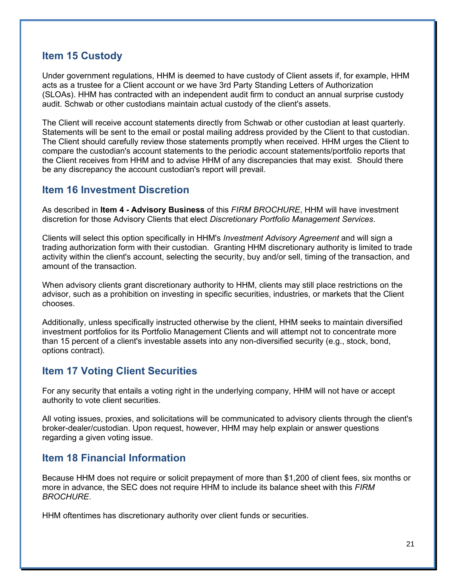## **Item 15 Custody**

Under government regulations, HHM is deemed to have custody of Client assets if, for example, HHM acts as a trustee for a Client account or we have 3rd Party Standing Letters of Authorization (SLOAs). HHM has contracted with an independent audit firm to conduct an annual surprise custody audit. Schwab or other custodians maintain actual custody of the client's assets.

The Client will receive account statements directly from Schwab or other custodian at least quarterly. Statements will be sent to the email or postal mailing address provided by the Client to that custodian. The Client should carefully review those statements promptly when received. HHM urges the Client to compare the custodian's account statements to the periodic account statements/portfolio reports that the Client receives from HHM and to advise HHM of any discrepancies that may exist. Should there be any discrepancy the account custodian's report will prevail.

## **Item 16 Investment Discretion**

As described in **Item 4 - Advisory Business** of this *FIRM BROCHURE*, HHM will have investment discretion for those Advisory Clients that elect *Discretionary Portfolio Management Services*.

Clients will select this option specifically in HHM's *Investment Advisory Agreement* and will sign a trading authorization form with their custodian. Granting HHM discretionary authority is limited to trade activity within the client's account, selecting the security, buy and/or sell, timing of the transaction, and amount of the transaction.

When advisory clients grant discretionary authority to HHM, clients may still place restrictions on the advisor, such as a prohibition on investing in specific securities, industries, or markets that the Client chooses.

Additionally, unless specifically instructed otherwise by the client, HHM seeks to maintain diversified investment portfolios for its Portfolio Management Clients and will attempt not to concentrate more than 15 percent of a client's investable assets into any non-diversified security (e.g., stock, bond, options contract).

## **Item 17 Voting Client Securities**

For any security that entails a voting right in the underlying company, HHM will not have or accept authority to vote client securities.

All voting issues, proxies, and solicitations will be communicated to advisory clients through the client's broker-dealer/custodian. Upon request, however, HHM may help explain or answer questions regarding a given voting issue.

## **Item 18 Financial Information**

Because HHM does not require or solicit prepayment of more than \$1,200 of client fees, six months or more in advance, the SEC does not require HHM to include its balance sheet with this *FIRM BROCHURE*.

HHM oftentimes has discretionary authority over client funds or securities.